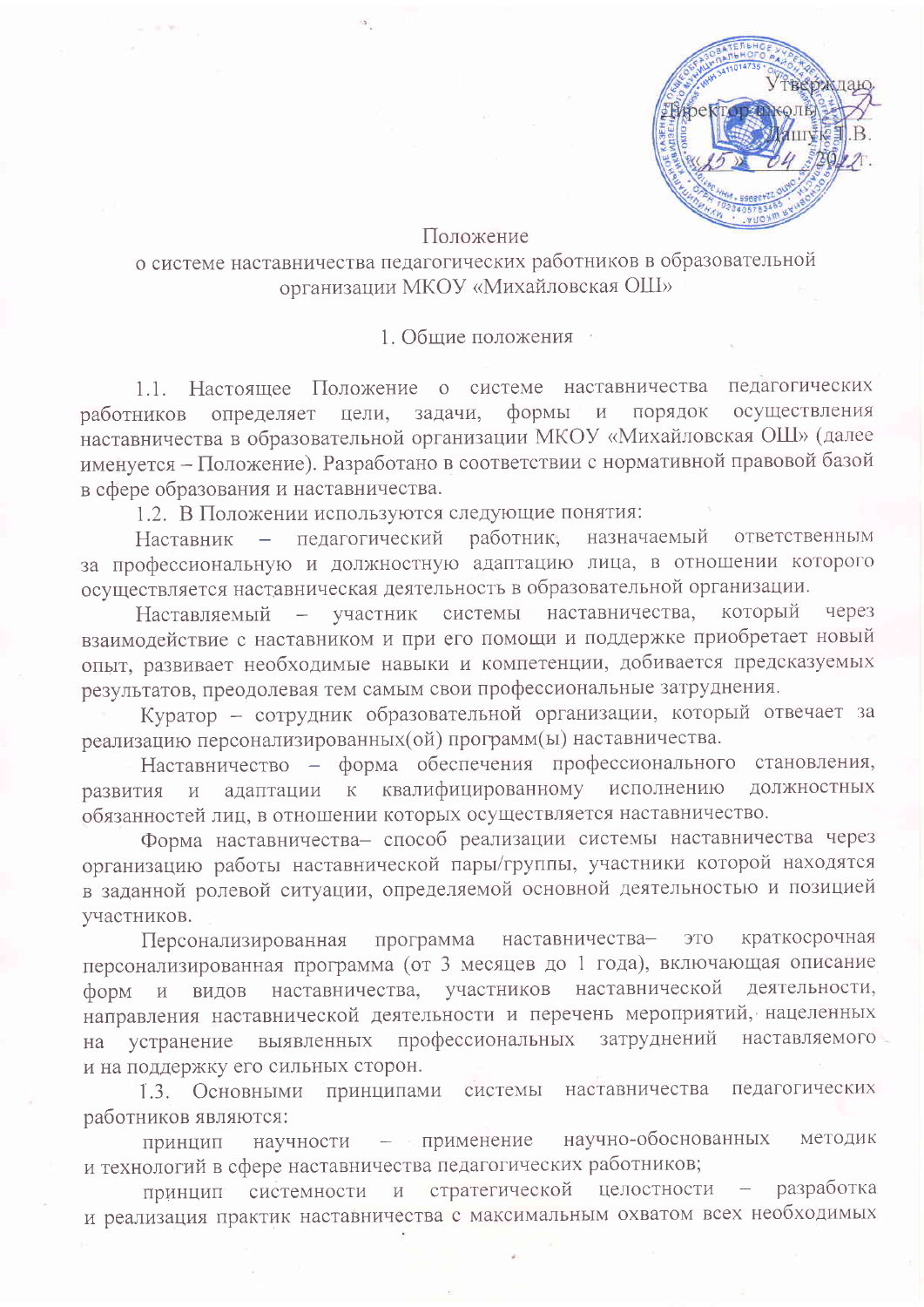

## Положение

## о системе наставничества педагогических работников в образовательной организации МКОУ «Михайловская ОШ»

1. Общие положения

1.1. Настояшее Положение о системе наставничества пелагогических осуществления определяет цели, задачи, формы и порядок работников наставничества в образовательной организации МКОУ «Михайловская ОШ» (далее именуется - Положение). Разработано в соответствии с нормативной правовой базой в сфере образования и наставничества.

1.2. В Положении используются следующие понятия:

назначаемый Наставник - педагогический работник, ответственным за профессиональную и должностную адаптацию лица, в отношении которого осуществляется наставническая деятельность в образовательной организации.

Наставляемый - участник системы наставничества, который через взаимодействие с наставником и при его помощи и поддержке приобретает новый опыт, развивает необходимые навыки и компетенции, добивается предсказуемых результатов, преодолевая тем самым свои профессиональные затруднения.

Куратор - сотрудник образовательной организации, который отвечает за реализацию персонализированных (ой) программ (ы) наставничества.

Наставничество - форма обеспечения профессионального становления, адаптации к квалифицированному исполнению должностных развития и обязанностей лиц, в отношении которых осуществляется наставничество.

Форма наставничества- способ реализации системы наставничества через организацию работы наставнической пары/группы, участники которой находятся в заданной ролевой ситуации, определяемой основной деятельностью и позицией участников.

программа наставничества-**OTC** краткосрочная Персонализированная персонализированная программа (от 3 месяцев до 1 года), включающая описание форм и видов наставничества, участников наставнической деятельности, направления наставнической деятельности и перечень мероприятий, нацеленных выявленных профессиональных затруднений наставляемого устранение на и на поддержку его сильных сторон.

1.3. Основными принципами системы наставничества педагогических работников являются:

научно-обоснованных - применение методик научности принцип и технологий в сфере наставничества педагогических работников;

системности и стратегической целостности разработка принцип и реализация практик наставничества с максимальным охватом всех необходимых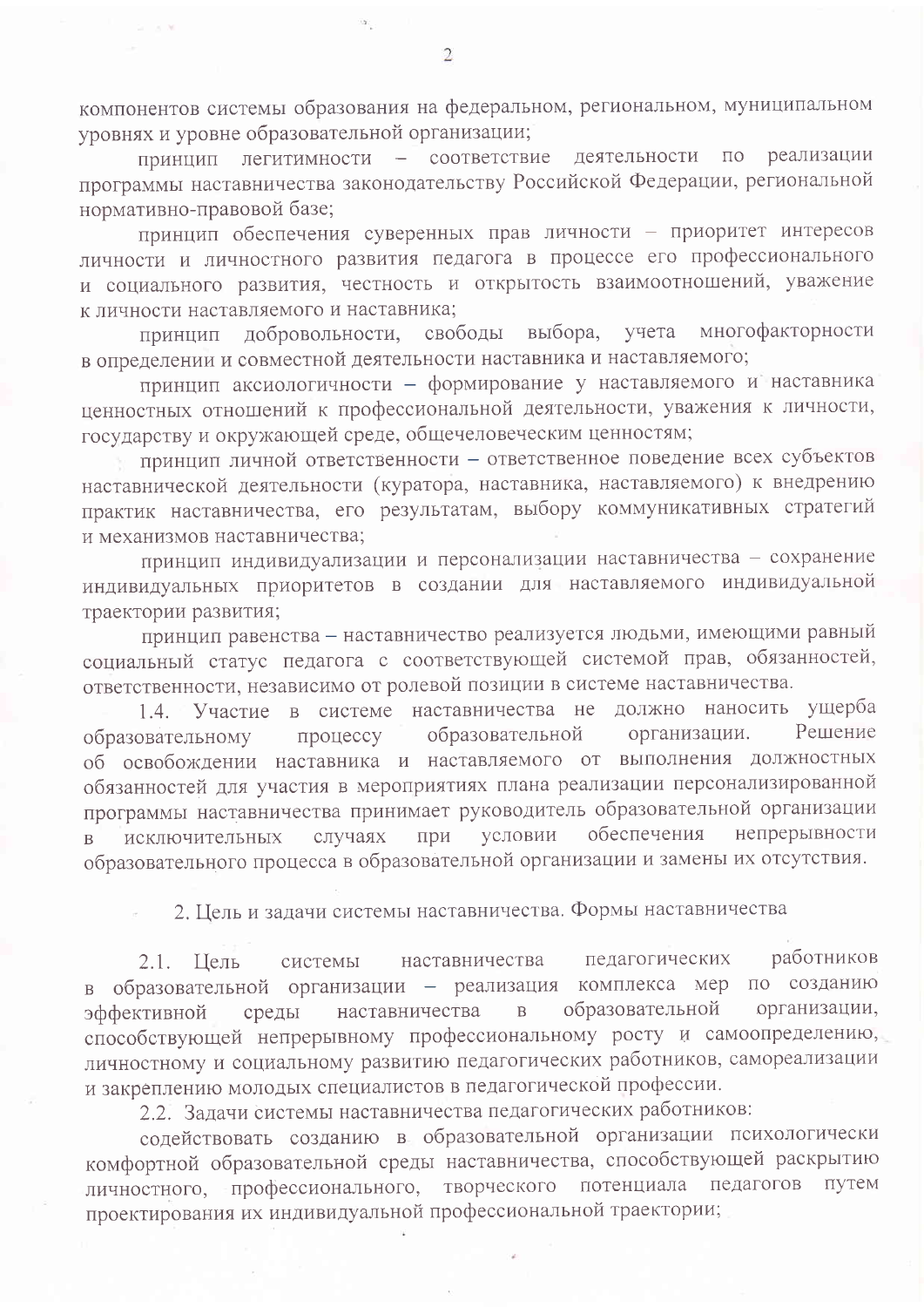компонентов системы образования на федеральном, региональном, муниципальном уровнях и уровне образовательной организации;

принцип легитимности - соответствие деятельности по реализации программы наставничества законодательству Российской Федерации, региональной нормативно-правовой базе;

принцип обеспечения суверенных прав личности - приоритет интересов личности и личностного развития педагога в процессе его профессионального и социального развития, честность и открытость взаимоотношений, уважение к личности наставляемого и наставника;

многофакторности выбора, учета принцип добровольности, свободы в определении и совместной деятельности наставника и наставляемого;

принцип аксиологичности - формирование у наставляемого и наставника ценностных отношений к профессиональной деятельности, уважения к личности, государству и окружающей среде, общечеловеческим ценностям;

принцип личной ответственности - ответственное поведение всех субъектов наставнической деятельности (куратора, наставника, наставляемого) к внедрению практик наставничества, его результатам, выбору коммуникативных стратегий и механизмов наставничества;

принцип индивидуализации и персонализации наставничества - сохранение индивидуальных приоритетов в создании для наставляемого индивидуальной траектории развития;

принцип равенства - наставничество реализуется людьми, имеющими равный социальный статус педагога с соответствующей системой прав, обязанностей, ответственности, независимо от ролевой позиции в системе наставничества.

1.4. Участие в системе наставничества не должно наносить ущерба Решение организации. образовательному процессу образовательной об освобождении наставника и наставляемого от выполнения должностных обязанностей для участия в мероприятиях плана реализации персонализированной программы наставничества принимает руководитель образовательной организации условии обеспечения непрерывности случаях при исключительных  $\mathbf{B}$ образовательного процесса в образовательной организации и замены их отсутствия.

2. Цель и задачи системы наставничества. Формы наставничества

работников наставничества педагогических 2.1. Цель системы в образовательной организации - реализация комплекса мер по созданию наставничества образовательной организации,  $\mathbf{B}$ эффективной среды способствующей непрерывному профессиональному росту и самоопределению, личностному и социальному развитию педагогических работников, самореализации и закреплению молодых специалистов в педагогической профессии.

2.2. Задачи системы наставничества педагогических работников:

содействовать созданию в образовательной организации психологически комфортной образовательной среды наставничества, способствующей раскрытию личностного, профессионального, творческого потенциала педагогов путем проектирования их индивидуальной профессиональной траектории;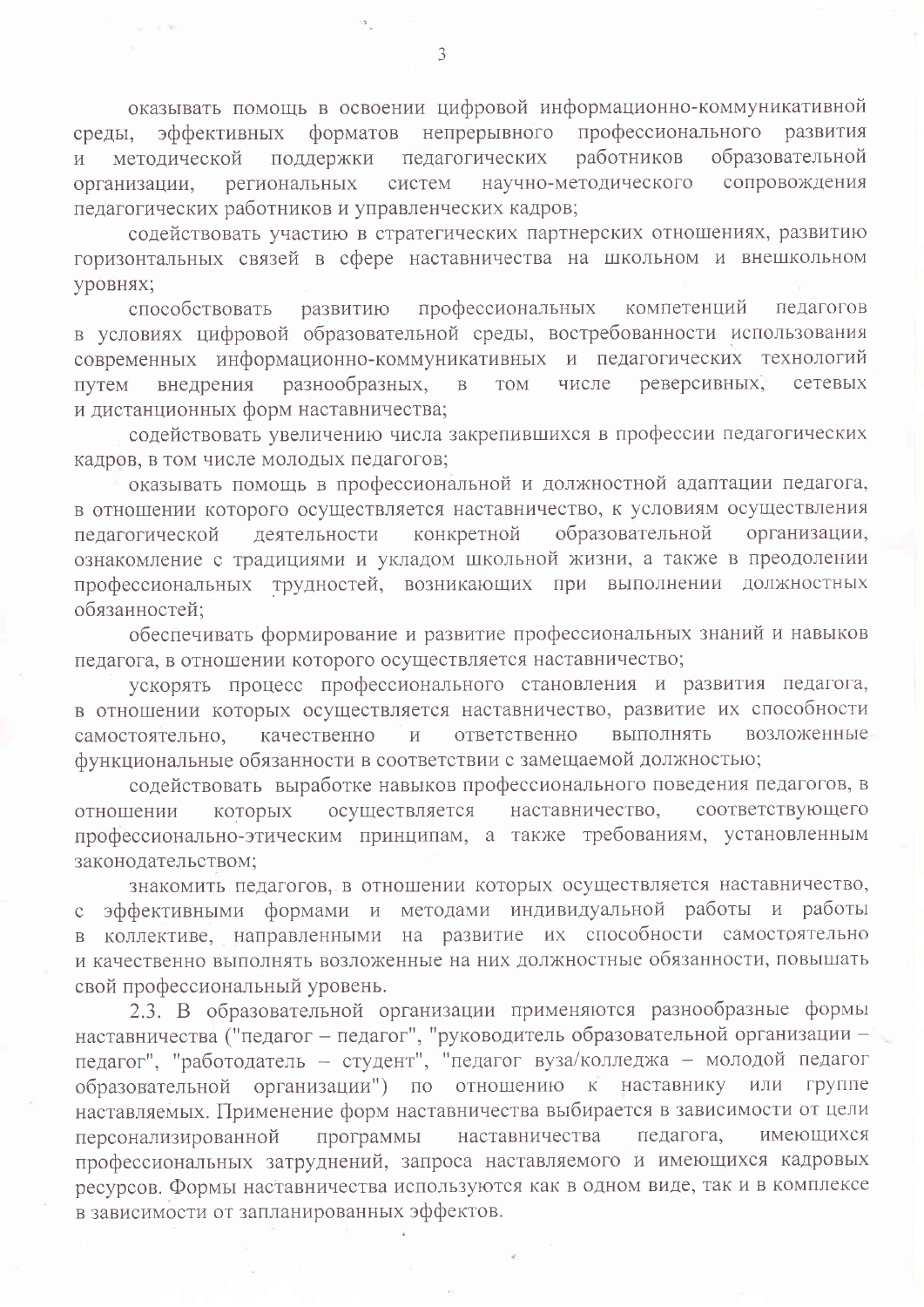оказывать помощь в освоении цифровой информационно-коммуникативной форматов непрерывного профессионального развития эффективных среды, педагогических работников образовательной методической поддержки  $\overline{M}$ региональных систем научно-методического сопровождения организации, педагогических работников и управленческих кадров;

содействовать участию в стратегических партнерских отношениях, развитию горизонтальных связей в сфере наставничества на школьном и внешкольном уровнях;

профессиональных компетенций способствовать педагогов развитию в условиях цифровой образовательной среды, востребованности использования современных информационно-коммуникативных и педагогических технологий реверсивных. внедрения разнообразных,  $\mathbf{B}$ **TOM** числе **TIVTEM** сетевых и дистанционных форм наставничества;

содействовать увеличению числа закрепившихся в профессии педагогических кадров, в том числе молодых педагогов;

оказывать помощь в профессиональной и должностной адаптации педагога, в отношении которого осуществляется наставничество, к условиям осуществления конкретной образовательной деятельности организации, педагогической ознакомление с традициями и укладом школьной жизни, а также в преодолении профессиональных трудностей, возникающих при выполнении должностных обязанностей;

обеспечивать формирование и развитие профессиональных знаний и навыков педагога, в отношении которого осуществляется наставничество;

ускорять процесс профессионального становления и развития педагога, в отношении которых осуществляется наставничество, развитие их способности качественно  $\overline{M}$ ответственно выполнять возложенные самостоятельно, функциональные обязанности в соответствии с замещаемой должностью;

содействовать выработке навыков профессионального поведения педагогов, в наставничество, соответствующего которых осуществляется отношении профессионально-этическим принципам, а также требованиям, установленным законодательством;

знакомить педагогов, в отношении которых осуществляется наставничество, эффективными формами и методами индивидуальной работы и работы  $\mathsf C$ в коллективе, направленными на развитие их способности самостоятельно и качественно выполнять возложенные на них должностные обязанности, повышать свой профессиональный уровень.

2.3. В образовательной организации применяются разнообразные формы наставничества ("педагог - педагог", "руководитель образовательной организации педагог", "работодатель - студент", "педагог вуза/колледжа - молодой педагог образовательной организации") по отношению к наставнику ИЛИ группе наставляемых. Применение форм наставничества выбирается в зависимости от цели программы наставничества персонализированной педагога, имеющихся профессиональных затруднений, запроса наставляемого и имеющихся кадровых ресурсов. Формы наставничества используются как в одном виде, так и в комплексе в зависимости от запланированных эффектов.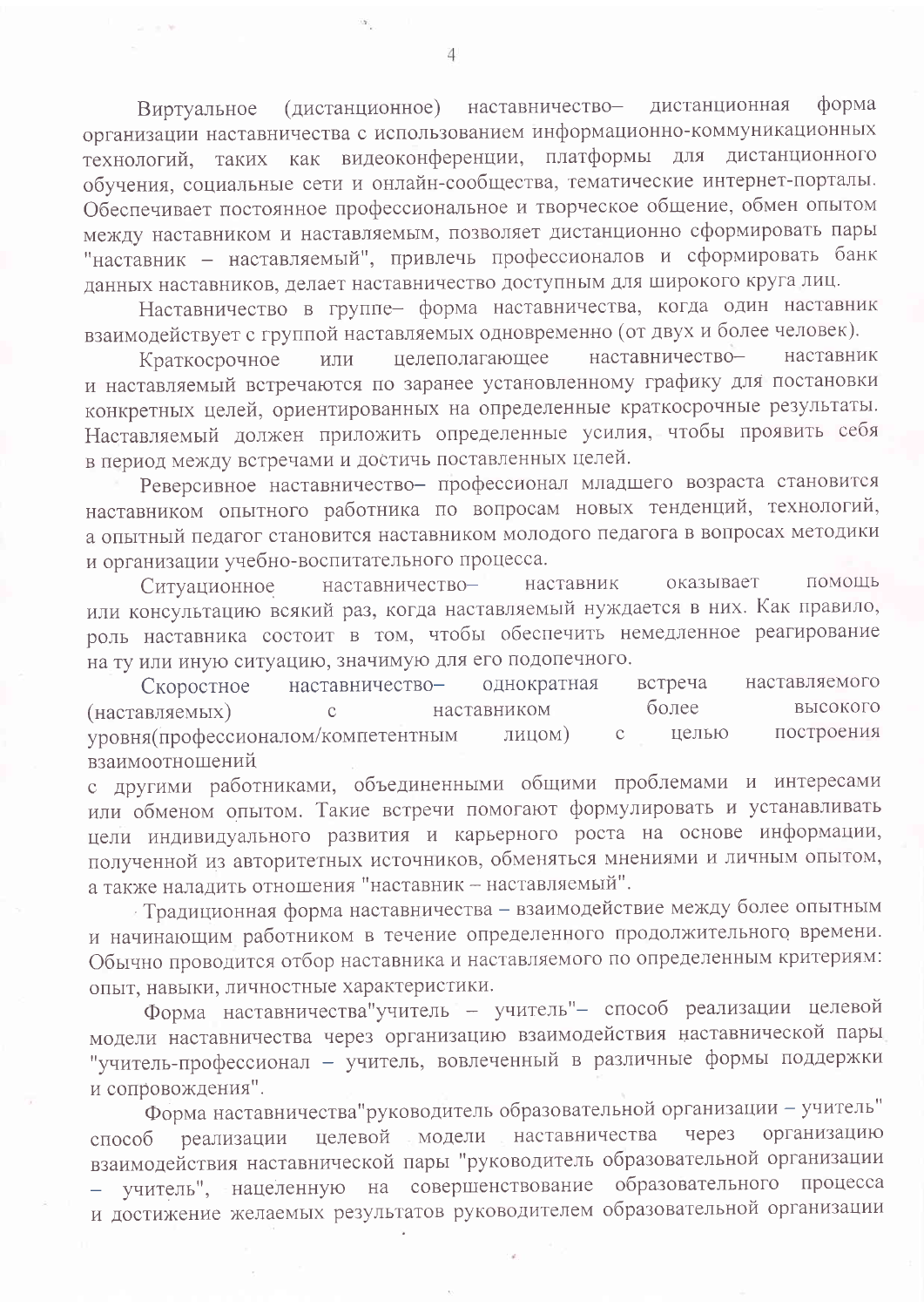(дистанционное) наставничествоформа дистанционная Виртуальное организации наставничества с использованием информационно-коммуникационных технологий, таких как видеоконференции, платформы для дистанционного обучения, социальные сети и онлайн-сообщества, тематические интернет-порталы. Обеспечивает постоянное профессиональное и творческое общение, обмен опытом между наставником и наставляемым, позволяет дистанционно сформировать пары "наставник - наставляемый", привлечь профессионалов и сформировать банк данных наставников, делает наставничество доступным для широкого круга лиц.

Наставничество в группе- форма наставничества, когда один наставник взаимодействует с группой наставляемых одновременно (от двух и более человек).

целеполагающее наставничествонаставник Краткосрочное или и наставляемый встречаются по заранее установленному графику для постановки конкретных целей, ориентированных на определенные краткосрочные результаты. Наставляемый должен приложить определенные усилия, чтобы проявить себя в период между встречами и достичь поставленных целей.

Реверсивное наставничество- профессионал младшего возраста становится наставником опытного работника по вопросам новых тенденций, технологий, а опытный педагог становится наставником молодого педагога в вопросах методики и организации учебно-воспитательного процесса.

наставничествонаставник оказывает ПОМОШЬ Ситуационное или консультацию всякий раз, когда наставляемый нуждается в них. Как правило, роль наставника состоит в том, чтобы обеспечить немедленное реагирование на ту или иную ситуацию, значимую для его подопечного.

встреча наставничествооднократная наставляемого Скоростное более высокого (наставляемых) наставником  $\overline{C}$ уровня (профессионалом/компетентным построения лицом)  $\overline{C}$ целью взаимоотношений

с другими работниками, объединенными общими проблемами и интересами или обменом опытом. Такие встречи помогают формулировать и устанавливать цели индивидуального развития и карьерного роста на основе информации, полученной из авторитетных источников, обменяться мнениями и личным опытом, а также наладить отношения "наставник - наставляемый".

- Традиционная форма наставничества - взаимодействие между более опытным и начинающим работником в течение определенного продолжительного времени. Обычно проводится отбор наставника и наставляемого по определенным критериям: опыт, навыки, личностные характеристики.

Форма наставничества учитель - учитель"- способ реализации целевой модели наставничества через организацию взаимодействия наставнической пары "учитель-профессионал - учитель, вовлеченный в различные формы поддержки и сопровождения".

Форма наставничества"руководитель образовательной организации - учитель" реализации целевой модели наставничества через организацию  $c\pi$ oco $\sigma$ взаимодействия наставнической пары "руководитель образовательной организации - учитель", нацеленную на совершенствование образовательного процесса и достижение желаемых результатов руководителем образовательной организации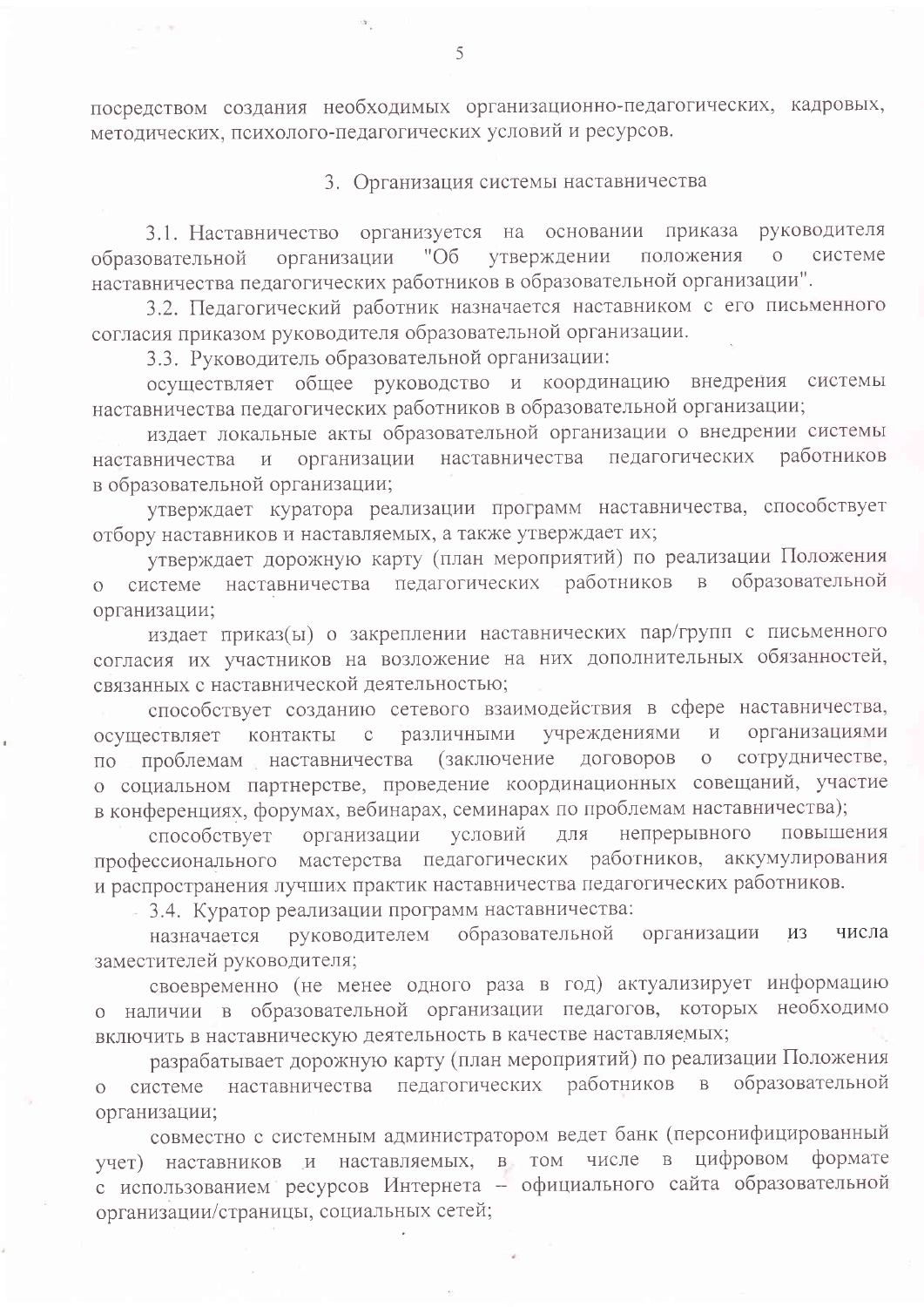посредством создания необходимых организационно-педагогических, кадровых, методических, психолого-педагогических условий и ресурсов.

3. Организация системы наставничества

3.1. Наставничество организуется на основании приказа руководителя "Об утверждении положения системе организации  $\overline{O}$ образовательной наставничества педагогических работников в образовательной организации".

3.2. Педагогический работник назначается наставником с его письменного согласия приказом руководителя образовательной организации.

3.3. Руководитель образовательной организации:

осуществляет общее руководство и координацию внедрения системы наставничества педагогических работников в образовательной организации;

издает локальные акты образовательной организации о внедрении системы пелагогических работников организации наставничества наставничества  $\overline{\mathbf{H}}$ в образовательной организации;

утверждает куратора реализации программ наставничества, способствует отбору наставников и наставляемых, а также утверждает их;

утверждает дорожную карту (план мероприятий) по реализации Положения наставничества педагогических работников в образовательной системе  $\overline{O}$ организации;

издает приказ(ы) о закреплении наставнических пар/групп с письменного согласия их участников на возложение на них дополнительных обязанностей, связанных с наставнической деятельностью;

способствует созданию сетевого взаимодействия в сфере наставничества, учреждениями организациями различными  $M$ осуществляет контакты  $\mathbf{C}$ проблемам наставничества (заключение договоров сотрудничестве,  $\overline{O}$  $\Pi$ <sup>O</sup> о социальном партнерстве, проведение координационных совещаний, участие в конференциях, форумах, вебинарах, семинарах по проблемам наставничества);

способствует организации условий непрерывного повышения ЛЛЯ профессионального мастерства педагогических работников, аккумулирования и распространения лучших практик наставничества педагогических работников.

3.4. Куратор реализации программ наставничества:

образовательной руководителем организации **ИЗ** числа назначается заместителей руководителя;

своевременно (не менее одного раза в год) актуализирует информацию о наличии в образовательной организации педагогов, которых необходимо включить в наставническую деятельность в качестве наставляемых;

разрабатывает дорожную карту (план мероприятий) по реализации Положения образовательной работников в системе наставничества педагогических  $\overline{O}$ организации;

совместно с системным администратором ведет банк (персонифицированный учет) наставников и наставляемых, в том числе в цифровом формате с использованием ресурсов Интернета - официального сайта образовательной организации/страницы, социальных сетей;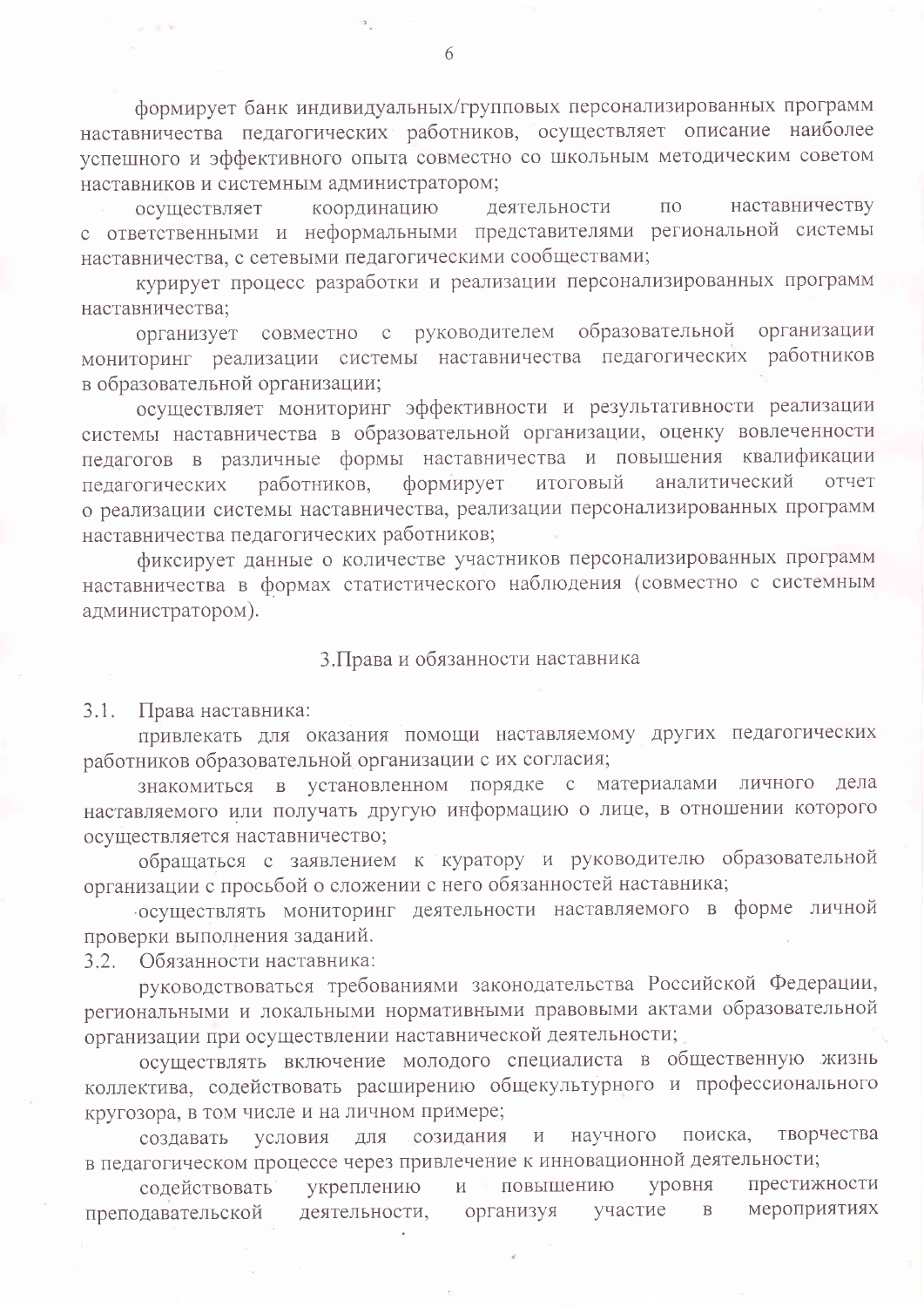формирует банк индивидуальных/групповых персонализированных программ наставничества педагогических работников, осуществляет описание наиболее успешного и эффективного опыта совместно со школьным методическим советом наставников и системным администратором;

наставничеству координацию деятельности  $\Pi$ O осуществляет с ответственными и неформальными представителями региональной системы наставничества, с сетевыми педагогическими сообществами;

курирует процесс разработки и реализации персонализированных программ наставничества;

организует совместно с руководителем образовательной организации мониторинг реализации системы наставничества педагогических работников в образовательной организации;

осуществляет мониторинг эффективности и результативности реализации системы наставничества в образовательной организации, оценку вовлеченности педагогов в различные формы наставничества и повышения квалификации работников, формирует итоговый аналитический педагогических отчет о реализации системы наставничества, реализации персонализированных программ наставничества педагогических работников;

фиксирует данные о количестве участников персонализированных программ наставничества в формах статистического наблюдения (совместно с системным администратором).

## 3. Права и обязанности наставника

 $3.1.$ Права наставника:

привлекать для оказания помощи наставляемому других педагогических работников образовательной организации с их согласия;

знакомиться в установленном порядке с материалами личного дела наставляемого или получать другую информацию о лице, в отношении которого осуществляется наставничество;

обращаться с заявлением к куратору и руководителю образовательной организации с просьбой о сложении с него обязанностей наставника;

осуществлять мониторинг деятельности наставляемого в форме личной проверки выполнения заданий.

3.2. Обязанности наставника:

руководствоваться требованиями законодательства Российской Федерации, региональными и локальными нормативными правовыми актами образовательной организации при осуществлении наставнической деятельности;

осуществлять включение молодого специалиста в общественную жизнь коллектива, содействовать расширению общекультурного и профессионального кругозора, в том числе и на личном примере;

для созидания и научного поиска, творчества условия создавать в педагогическом процессе через привлечение к инновационной деятельности;

престижности уровня содействовать укреплению  $\mathbf{H}$ повышению мероприятиях участие преподавательской деятельности, организуя  $\mathbf B$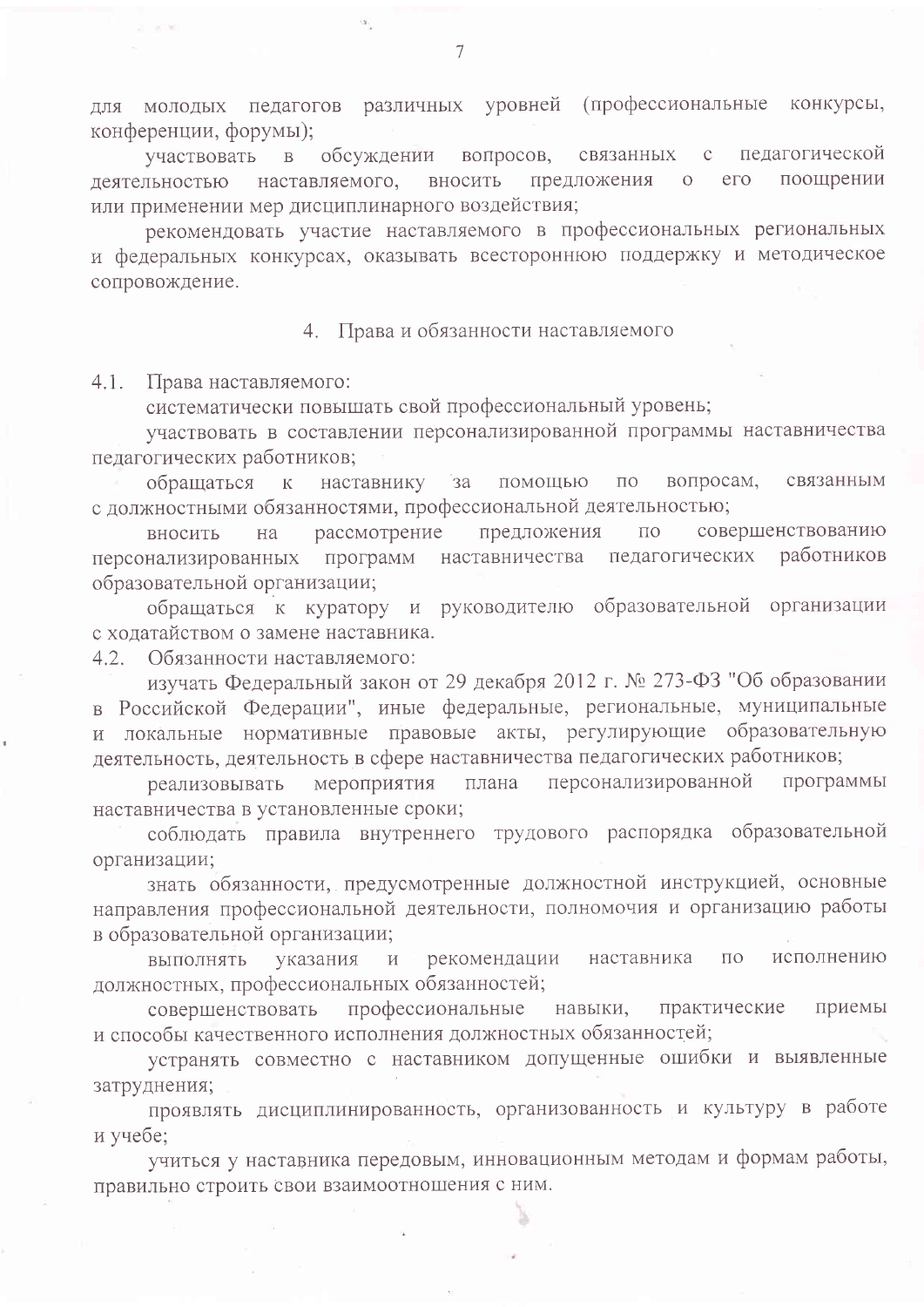для молодых педагогов различных уровней (профессиональные конкурсы, конференции, форумы);

вопросов, связанных педагогической участвовать обсуждении  $\overline{B}$  $\mathbf C$ предложения поощрении деятельностью наставляемого, вносить  $e<sub>0</sub>$  $\overline{O}$ или применении мер дисциплинарного воздействия;

рекомендовать участие наставляемого в профессиональных региональных и федеральных конкурсах, оказывать всестороннюю поддержку и методическое сопровождение.

4. Права и обязанности наставляемого

 $4.1.$ Права наставляемого:

систематически повышать свой профессиональный уровень;

участвовать в составлении персонализированной программы наставничества педагогических работников;

за помощью вопросам, обращаться к наставнику  $\Pi$ O связанным с должностными обязанностями, профессиональной деятельностью;

рассмотрение предложения совершенствованию  $\overline{10}$ вносить на персонализированных программ наставничества педагогических работников образовательной организации;

обращаться к куратору и руководителю образовательной организации с ходатайством о замене наставника.

Обязанности наставляемого:  $4.2$ 

изучать Федеральный закон от 29 декабря 2012 г. № 273-ФЗ "Об образовании в Российской Федерации", иные федеральные, региональные, муниципальные и локальные нормативные правовые акты, регулирующие образовательную деятельность, деятельность в сфере наставничества педагогических работников;

мероприятия плана персонализированной программы реализовывать наставничества в установленные сроки;

соблюдать правила внутреннего трудового распорядка образовательной организации;

знать обязанности, предусмотренные должностной инструкцией, основные направления профессиональной деятельности, полномочия и организацию работы в образовательной организации;

выполнять указания  $\mathbf{H}$ рекомендации наставника  $\Pi$ <sup>O</sup> исполнению должностных, профессиональных обязанностей;

профессиональные навыки, практические совершенствовать приемы и способы качественного исполнения должностных обязанностей;

устранять совместно с наставником допущенные ошибки и выявленные затруднения;

проявлять дисциплинированность, организованность и культуру в работе и учебе:

учиться у наставника передовым, инновационным методам и формам работы, правильно строить свои взаимоотношения с ним.

 $\overline{7}$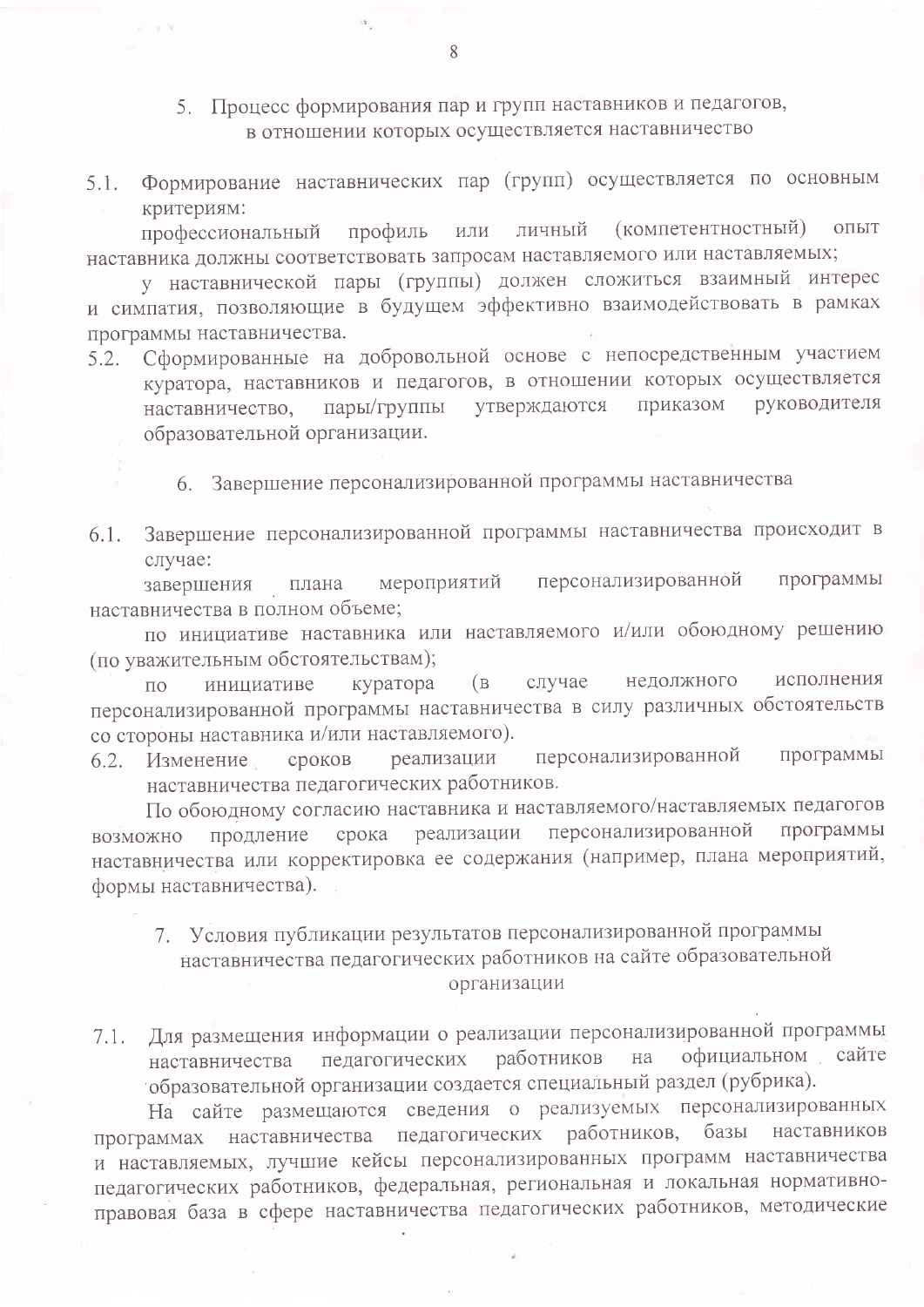- 5. Процесс формирования пар и групп наставников и педагогов, в отношении которых осуществляется наставничество
- 5.1. Формирование наставнических пар (групп) осуществляется по основным критериям:

профиль или личный (компетентностный) ОПЫТ профессиональный наставника должны соответствовать запросам наставляемого или наставляемых;

у наставнической пары (группы) должен сложиться взаимный интерес и симпатия, позволяющие в будущем эффективно взаимодействовать в рамках программы наставничества.

Сформированные на добровольной основе с непосредственным участием  $5.2.$ куратора, наставников и педагогов, в отношении которых осуществляется руководителя пары/группы утверждаются приказом наставничество, образовательной организации.

6. Завершение персонализированной программы наставничества

Завершение персонализированной программы наставничества происходит в 6.1. случае:

программы персонализированной мероприятий завершения плана наставничества в полном объеме;

по инициативе наставника или наставляемого и/или обоюдному решению (по уважительным обстоятельствам);

недолжного исполнения инициативе  $(B<sup>-</sup>)$ случае куратора  $\overline{10}$ персонализированной программы наставничества в силу различных обстоятельств со стороны наставника и/или наставляемого).

персонализированной программы 6.2. Изменение сроков реализации наставничества педагогических работников.

По обоюдному согласию наставника и наставляемого/наставляемых педагогов продление срока реализации персонализированной программы возможно наставничества или корректировка ее содержания (например, плана мероприятий, формы наставничества).

- 7. Условия публикации результатов персонализированной программы наставничества педагогических работников на сайте образовательной организации
- Для размещения информации о реализации персонализированной программы  $7.1.$ педагогических работников официальном сайте на наставничества образовательной организации создается специальный раздел (рубрика).

На сайте размещаются сведения о реализуемых персонализированных программах наставничества педагогических работников, базы наставников и наставляемых, лучшие кейсы персонализированных программ наставничества педагогических работников, федеральная, региональная и локальная нормативноправовая база в сфере наставничества педагогических работников, методические

 $\overline{R}$